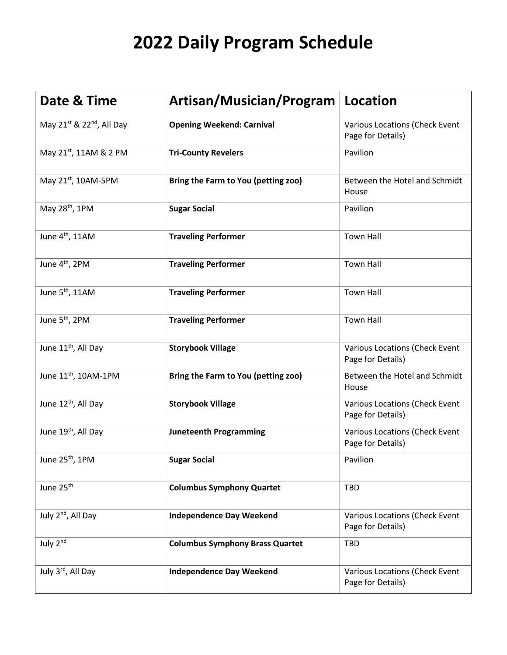| Date & Time                                       | Artisan/Musician/Program               | <b>Location</b>                                     |
|---------------------------------------------------|----------------------------------------|-----------------------------------------------------|
| May 21 <sup>st</sup> & 22 <sup>nd</sup> , All Day | <b>Opening Weekend: Carnival</b>       | Various Locations (Check Event<br>Page for Details) |
| May 21st, 11AM & 2 PM                             | <b>Tri-County Revelers</b>             | Pavilion                                            |
| May 21st, 10AM-5PM                                | Bring the Farm to You (petting zoo)    | Between the Hotel and Schmidt<br>House              |
| May 28 <sup>th</sup> , 1PM                        | <b>Sugar Social</b>                    | Pavilion                                            |
| June 4 <sup>th</sup> , 11AM                       | <b>Traveling Performer</b>             | <b>Town Hall</b>                                    |
| June 4 <sup>th</sup> , 2PM                        | <b>Traveling Performer</b>             | <b>Town Hall</b>                                    |
| June 5 <sup>th</sup> , 11AM                       | <b>Traveling Performer</b>             | <b>Town Hall</b>                                    |
| June 5 <sup>th</sup> , 2PM                        | <b>Traveling Performer</b>             | <b>Town Hall</b>                                    |
| June 11 <sup>th</sup> , All Day                   | <b>Storybook Village</b>               | Various Locations (Check Event<br>Page for Details) |
| June 11 <sup>th</sup> , 10AM-1PM                  | Bring the Farm to You (petting zoo)    | Between the Hotel and Schmidt<br>House              |
| June 12 <sup>th</sup> , All Day                   | <b>Storybook Village</b>               | Various Locations (Check Event<br>Page for Details) |
| June 19 <sup>th</sup> , All Day                   | <b>Juneteenth Programming</b>          | Various Locations (Check Event<br>Page for Details) |
| June 25 <sup>th</sup> , 1PM                       | <b>Sugar Social</b>                    | Pavilion                                            |
| June 25 <sup>th</sup>                             | <b>Columbus Symphony Quartet</b>       | <b>TBD</b>                                          |
| July 2 <sup>nd</sup> , All Day                    | <b>Independence Day Weekend</b>        | Various Locations (Check Event<br>Page for Details) |
| July $2^{n\overline{d}}$                          | <b>Columbus Symphony Brass Quartet</b> | <b>TBD</b>                                          |
| July 3rd, All Day                                 | <b>Independence Day Weekend</b>        | Various Locations (Check Event<br>Page for Details) |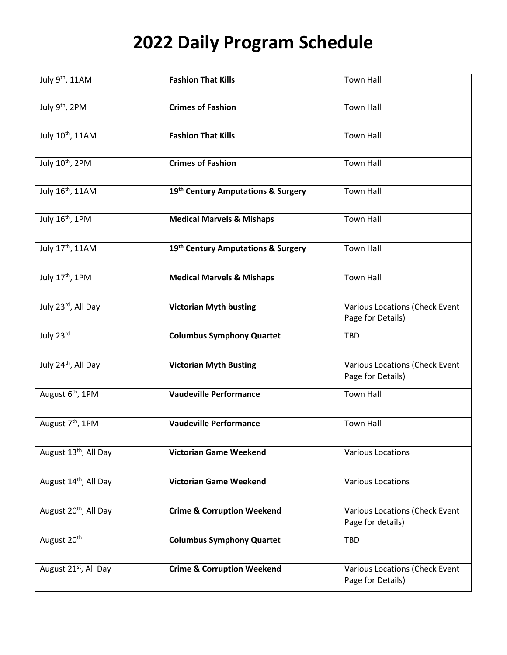| July 9th, 11AM                    | <b>Fashion That Kills</b>             | <b>Town Hall</b>                                    |
|-----------------------------------|---------------------------------------|-----------------------------------------------------|
| July 9 <sup>th</sup> , 2PM        | <b>Crimes of Fashion</b>              | <b>Town Hall</b>                                    |
| July 10th, 11AM                   | <b>Fashion That Kills</b>             | <b>Town Hall</b>                                    |
| July 10th, 2PM                    | <b>Crimes of Fashion</b>              | <b>Town Hall</b>                                    |
| July 16 <sup>th</sup> , 11AM      | 19th Century Amputations & Surgery    | <b>Town Hall</b>                                    |
| July 16 <sup>th</sup> , 1PM       | <b>Medical Marvels &amp; Mishaps</b>  | <b>Town Hall</b>                                    |
| July 17th, 11AM                   | 19th Century Amputations & Surgery    | <b>Town Hall</b>                                    |
| July 17th, 1PM                    | <b>Medical Marvels &amp; Mishaps</b>  | <b>Town Hall</b>                                    |
| July 23rd, All Day                | <b>Victorian Myth busting</b>         | Various Locations (Check Event<br>Page for Details) |
| July 23rd                         | <b>Columbus Symphony Quartet</b>      | <b>TBD</b>                                          |
| July 24 <sup>th</sup> , All Day   | <b>Victorian Myth Busting</b>         | Various Locations (Check Event<br>Page for Details) |
| August 6 <sup>th</sup> , 1PM      | <b>Vaudeville Performance</b>         | <b>Town Hall</b>                                    |
| August 7 <sup>th</sup> , 1PM      | <b>Vaudeville Performance</b>         | <b>Town Hall</b>                                    |
| August 13 <sup>th</sup> , All Day | <b>Victorian Game Weekend</b>         | <b>Various Locations</b>                            |
| August 14th, All Day              | <b>Victorian Game Weekend</b>         | <b>Various Locations</b>                            |
| August 20 <sup>th</sup> , All Day | <b>Crime &amp; Corruption Weekend</b> | Various Locations (Check Event<br>Page for details) |
| August 20 <sup>th</sup>           | <b>Columbus Symphony Quartet</b>      | <b>TBD</b>                                          |
| August 21 <sup>st</sup> , All Day | <b>Crime &amp; Corruption Weekend</b> | Various Locations (Check Event<br>Page for Details) |